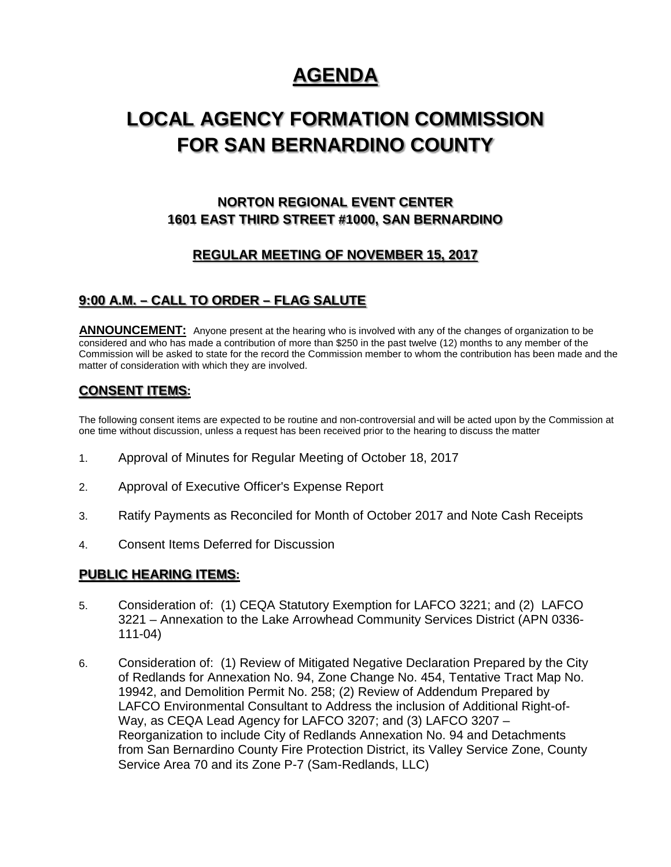# **AGENDA**

# **LOCAL AGENCY FORMATION COMMISSION FOR SAN BERNARDINO COUNTY**

# **NORTON REGIONAL EVENT CENTER 1601 EAST THIRD STREET #1000, SAN BERNARDINO**

## **REGULAR MEETING OF NOVEMBER 15, 2017**

## **9:00 A.M. – CALL TO ORDER – FLAG SALUTE**

ANNOUNCEMENT: Anyone present at the hearing who is involved with any of the changes of organization to be considered and who has made a contribution of more than \$250 in the past twelve (12) months to any member of the Commission will be asked to state for the record the Commission member to whom the contribution has been made and the matter of consideration with which they are involved.

## **CONSENT ITEMS:**

The following consent items are expected to be routine and non-controversial and will be acted upon by the Commission at one time without discussion, unless a request has been received prior to the hearing to discuss the matter

- 1. Approval of Minutes for Regular Meeting of October 18, 2017
- 2. Approval of Executive Officer's Expense Report
- 3. Ratify Payments as Reconciled for Month of October 2017 and Note Cash Receipts
- 4. Consent Items Deferred for Discussion

#### **PUBLIC HEARING ITEMS:**

- 5. Consideration of: (1) CEQA Statutory Exemption for LAFCO 3221; and (2) LAFCO 3221 – Annexation to the Lake Arrowhead Community Services District (APN 0336- 111-04)
- 6. Consideration of: (1) Review of Mitigated Negative Declaration Prepared by the City of Redlands for Annexation No. 94, Zone Change No. 454, Tentative Tract Map No. 19942, and Demolition Permit No. 258; (2) Review of Addendum Prepared by LAFCO Environmental Consultant to Address the inclusion of Additional Right-of-Way, as CEQA Lead Agency for LAFCO 3207; and (3) LAFCO 3207 – Reorganization to include City of Redlands Annexation No. 94 and Detachments from San Bernardino County Fire Protection District, its Valley Service Zone, County Service Area 70 and its Zone P-7 (Sam-Redlands, LLC)